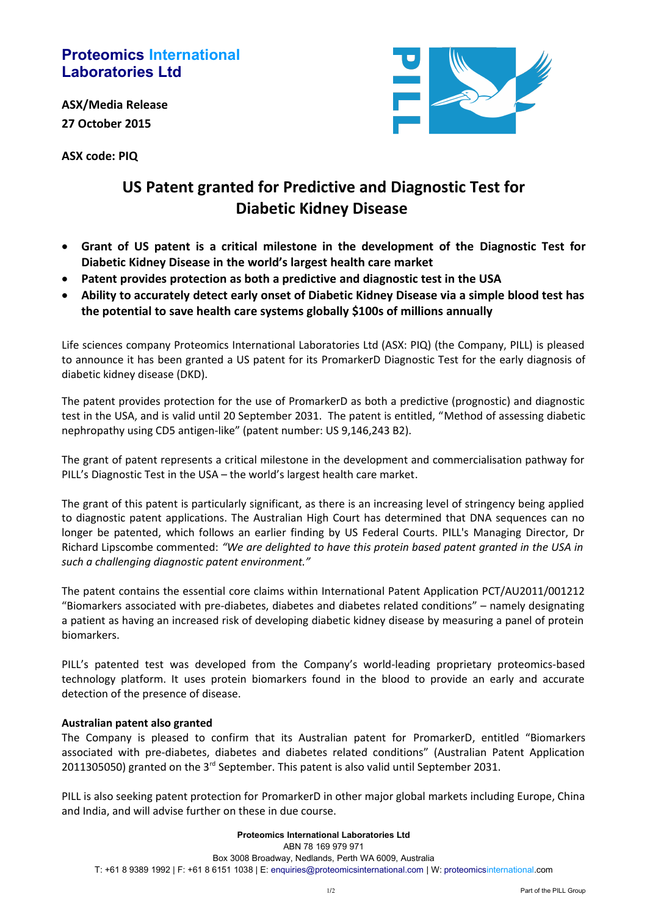## **Proteomics International Laboratories Ltd**

**ASX/Media Release 27 October 2015**

**ASX code: PIQ**



# **US Patent granted for Predictive and Diagnostic Test for Diabetic Kidney Disease**

- **Grant of US patent is a critical milestone in the development of the Diagnostic Test for Diabetic Kidney Disease in the world's largest health care market**
- **Patent provides protection as both a predictive and diagnostic test in the USA**
- **Ability to accurately detect early onset of Diabetic Kidney Disease via a simple blood test has the potential to save health care systems globally \$100s of millions annually**

Life sciences company Proteomics International Laboratories Ltd (ASX: PIQ) (the Company, PILL) is pleased to announce it has been granted a US patent for its PromarkerD Diagnostic Test for the early diagnosis of diabetic kidney disease (DKD).

The patent provides protection for the use of PromarkerD as both a predictive (prognostic) and diagnostic test in the USA, and is valid until 20 September 2031. The patent is entitled, "Method of assessing diabetic nephropathy using CD5 antigen-like" (patent number: US 9,146,243 B2).

The grant of patent represents a critical milestone in the development and commercialisation pathway for PILL's Diagnostic Test in the USA – the world's largest health care market.

The grant of this patent is particularly significant, as there is an increasing level of stringency being applied to diagnostic patent applications. The Australian High Court has determined that DNA sequences can no longer be patented, which follows an earlier finding by US Federal Courts. PILL's Managing Director, Dr Richard Lipscombe commented: *"We are delighted to have this protein based patent granted in the USA in such a challenging diagnostic patent environment."*

The patent contains the essential core claims within International Patent Application PCT/AU2011/001212 "Biomarkers associated with pre-diabetes, diabetes and diabetes related conditions" – namely designating a patient as having an increased risk of developing diabetic kidney disease by measuring a panel of protein biomarkers.

PILL's patented test was developed from the Company's world-leading proprietary proteomics-based technology platform. It uses protein biomarkers found in the blood to provide an early and accurate detection of the presence of disease.

### **Australian patent also granted**

The Company is pleased to confirm that its Australian patent for PromarkerD, entitled "Biomarkers associated with pre-diabetes, diabetes and diabetes related conditions" (Australian Patent Application 2011305050) granted on the  $3<sup>rd</sup>$  September. This patent is also valid until September 2031.

PILL is also seeking patent protection for PromarkerD in other major global markets including Europe, China and India, and will advise further on these in due course.